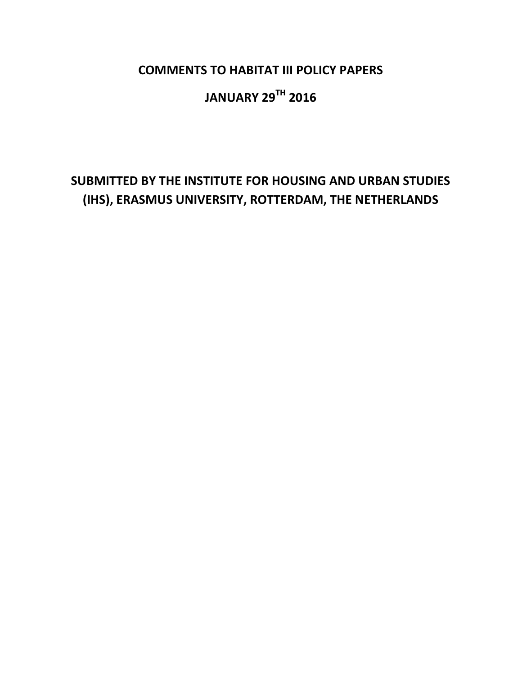COMMENTS TO HABITAT III POLICY PAPERS

# JANUARY 29TH 2016

# SUBMITTED BY THE INSTITUTE FOR HOUSING AND URBAN STUDIES (IHS), ERASMUS UNIVERSITY, ROTTERDAM, THE NETHERLANDS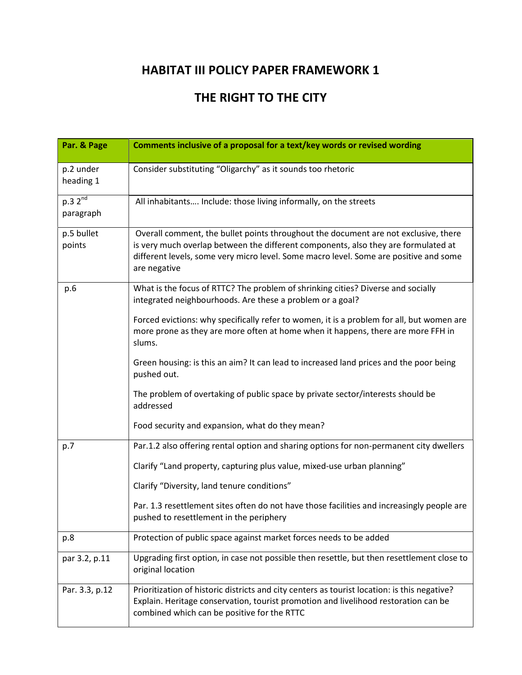## THE RIGHT TO THE CITY

| Par. & Page                      | Comments inclusive of a proposal for a text/key words or revised wording                                                                                                                                                                                                           |
|----------------------------------|------------------------------------------------------------------------------------------------------------------------------------------------------------------------------------------------------------------------------------------------------------------------------------|
| p.2 under<br>heading 1           | Consider substituting "Oligarchy" as it sounds too rhetoric                                                                                                                                                                                                                        |
| p.3 2 <sup>nd</sup><br>paragraph | All inhabitants Include: those living informally, on the streets                                                                                                                                                                                                                   |
| p.5 bullet<br>points             | Overall comment, the bullet points throughout the document are not exclusive, there<br>is very much overlap between the different components, also they are formulated at<br>different levels, some very micro level. Some macro level. Some are positive and some<br>are negative |
| p.6                              | What is the focus of RTTC? The problem of shrinking cities? Diverse and socially<br>integrated neighbourhoods. Are these a problem or a goal?                                                                                                                                      |
|                                  | Forced evictions: why specifically refer to women, it is a problem for all, but women are<br>more prone as they are more often at home when it happens, there are more FFH in<br>slums.                                                                                            |
|                                  | Green housing: is this an aim? It can lead to increased land prices and the poor being<br>pushed out.                                                                                                                                                                              |
|                                  | The problem of overtaking of public space by private sector/interests should be<br>addressed                                                                                                                                                                                       |
|                                  | Food security and expansion, what do they mean?                                                                                                                                                                                                                                    |
| p.7                              | Par.1.2 also offering rental option and sharing options for non-permanent city dwellers                                                                                                                                                                                            |
|                                  | Clarify "Land property, capturing plus value, mixed-use urban planning"                                                                                                                                                                                                            |
|                                  | Clarify "Diversity, land tenure conditions"                                                                                                                                                                                                                                        |
|                                  | Par. 1.3 resettlement sites often do not have those facilities and increasingly people are<br>pushed to resettlement in the periphery                                                                                                                                              |
| p.8                              | Protection of public space against market forces needs to be added                                                                                                                                                                                                                 |
| par 3.2, p.11                    | Upgrading first option, in case not possible then resettle, but then resettlement close to<br>original location                                                                                                                                                                    |
| Par. 3.3, p.12                   | Prioritization of historic districts and city centers as tourist location: is this negative?<br>Explain. Heritage conservation, tourist promotion and livelihood restoration can be<br>combined which can be positive for the RTTC                                                 |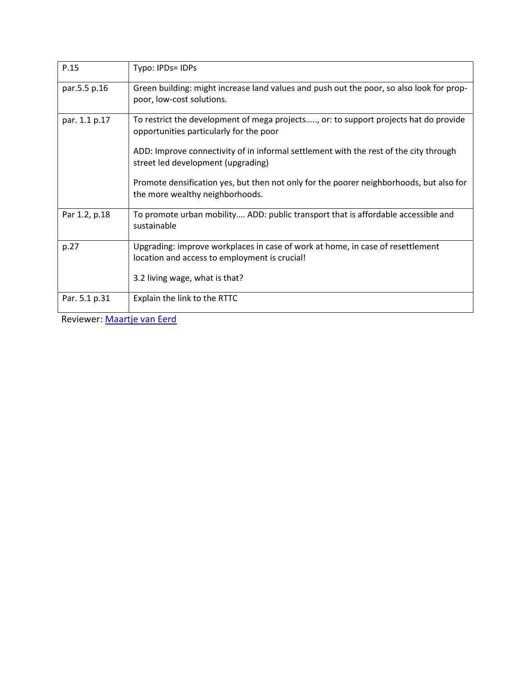| P.15          | Typo: IPDs= IDPs                                                                                                                |
|---------------|---------------------------------------------------------------------------------------------------------------------------------|
| par.5.5 p.16  | Green building: might increase land values and push out the poor, so also look for prop-<br>poor, low-cost solutions.           |
| par. 1.1 p.17 | To restrict the development of mega projects, or: to support projects hat do provide<br>opportunities particularly for the poor |
|               | ADD: Improve connectivity of in informal settlement with the rest of the city through<br>street led development (upgrading)     |
|               | Promote densification yes, but then not only for the poorer neighborhoods, but also for<br>the more wealthy neighborhoods.      |
| Par 1.2, p.18 | To promote urban mobility ADD: public transport that is affordable accessible and<br>sustainable                                |
| p.27          | Upgrading: improve workplaces in case of work at home, in case of resettlement<br>location and access to employment is crucial! |
|               | 3.2 living wage, what is that?                                                                                                  |
| Par. 5.1 p.31 | Explain the link to the RTTC                                                                                                    |

Reviewer: Maartje van Eerd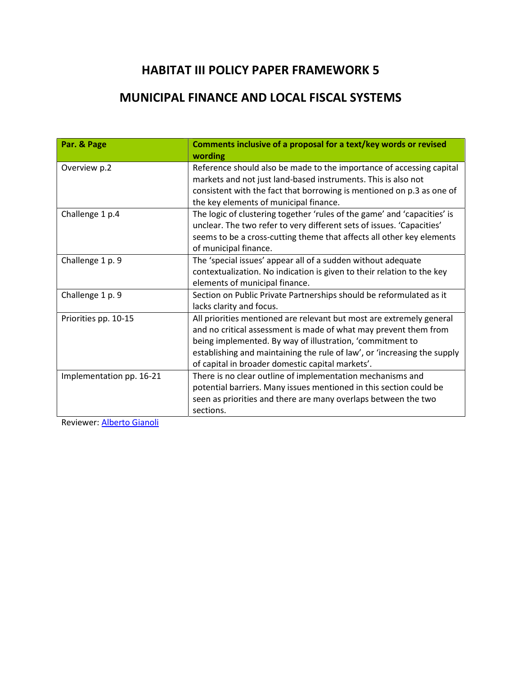### MUNICIPAL FINANCE AND LOCAL FISCAL SYSTEMS

| Par. & Page              | Comments inclusive of a proposal for a text/key words or revised                                                                                                                                                                                                                                                                      |
|--------------------------|---------------------------------------------------------------------------------------------------------------------------------------------------------------------------------------------------------------------------------------------------------------------------------------------------------------------------------------|
|                          | wording                                                                                                                                                                                                                                                                                                                               |
| Overview p.2             | Reference should also be made to the importance of accessing capital<br>markets and not just land-based instruments. This is also not<br>consistent with the fact that borrowing is mentioned on p.3 as one of<br>the key elements of municipal finance.                                                                              |
| Challenge 1 p.4          | The logic of clustering together 'rules of the game' and 'capacities' is<br>unclear. The two refer to very different sets of issues. 'Capacities'<br>seems to be a cross-cutting theme that affects all other key elements<br>of municipal finance.                                                                                   |
| Challenge 1 p. 9         | The 'special issues' appear all of a sudden without adequate<br>contextualization. No indication is given to their relation to the key<br>elements of municipal finance.                                                                                                                                                              |
| Challenge 1 p. 9         | Section on Public Private Partnerships should be reformulated as it<br>lacks clarity and focus.                                                                                                                                                                                                                                       |
| Priorities pp. 10-15     | All priorities mentioned are relevant but most are extremely general<br>and no critical assessment is made of what may prevent them from<br>being implemented. By way of illustration, 'commitment to<br>establishing and maintaining the rule of law', or 'increasing the supply<br>of capital in broader domestic capital markets'. |
| Implementation pp. 16-21 | There is no clear outline of implementation mechanisms and<br>potential barriers. Many issues mentioned in this section could be<br>seen as priorities and there are many overlaps between the two<br>sections.                                                                                                                       |

Reviewer: Alberto Gianoli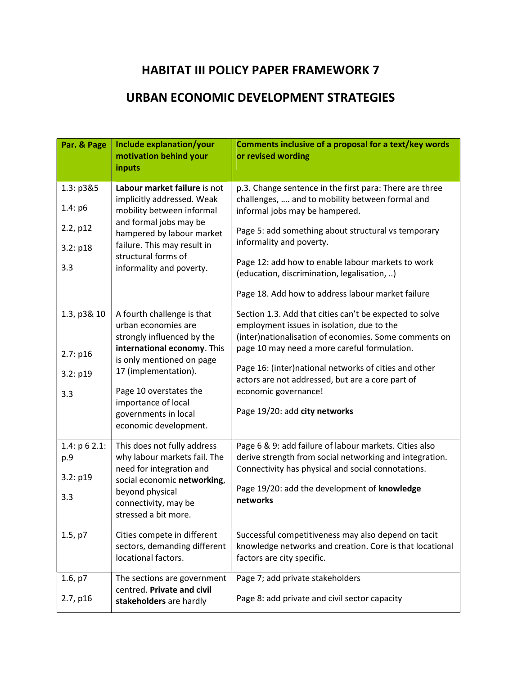#### URBAN ECONOMIC DEVELOPMENT STRATEGIES

| Par. & Page                                  | Include explanation/your<br>motivation behind your<br>inputs                                                                                                                  | Comments inclusive of a proposal for a text/key words<br>or revised wording                                                                                                                                                     |
|----------------------------------------------|-------------------------------------------------------------------------------------------------------------------------------------------------------------------------------|---------------------------------------------------------------------------------------------------------------------------------------------------------------------------------------------------------------------------------|
| 1.3: p3&5<br>1.4: p6<br>2.2, p12<br>3.2: p18 | Labour market failure is not<br>implicitly addressed. Weak<br>mobility between informal<br>and formal jobs may be<br>hampered by labour market<br>failure. This may result in | p.3. Change sentence in the first para: There are three<br>challenges,  and to mobility between formal and<br>informal jobs may be hampered.<br>Page 5: add something about structural vs temporary<br>informality and poverty. |
| 3.3                                          | structural forms of<br>informality and poverty.                                                                                                                               | Page 12: add how to enable labour markets to work<br>(education, discrimination, legalisation, )<br>Page 18. Add how to address labour market failure                                                                           |
| 1.3, p3& 10<br>2.7: p16                      | A fourth challenge is that<br>urban economies are<br>strongly influenced by the<br>international economy. This                                                                | Section 1.3. Add that cities can't be expected to solve<br>employment issues in isolation, due to the<br>(inter)nationalisation of economies. Some comments on<br>page 10 may need a more careful formulation.                  |
| 3.2: p19<br>3.3                              | is only mentioned on page<br>17 (implementation).<br>Page 10 overstates the                                                                                                   | Page 16: (inter)national networks of cities and other<br>actors are not addressed, but are a core part of<br>economic governance!                                                                                               |
|                                              | importance of local<br>governments in local<br>economic development.                                                                                                          | Page 19/20: add city networks                                                                                                                                                                                                   |
| 1.4: $p 6 2.1$ :<br>p.9<br>3.2: p19          | This does not fully address<br>why labour markets fail. The<br>need for integration and<br>social economic networking,                                                        | Page 6 & 9: add failure of labour markets. Cities also<br>derive strength from social networking and integration.<br>Connectivity has physical and social connotations.                                                         |
| 3.3                                          | beyond physical<br>connectivity, may be<br>stressed a bit more.                                                                                                               | Page 19/20: add the development of knowledge<br>networks                                                                                                                                                                        |
| 1.5, p7                                      | Cities compete in different<br>sectors, demanding different<br>locational factors.                                                                                            | Successful competitiveness may also depend on tacit<br>knowledge networks and creation. Core is that locational<br>factors are city specific.                                                                                   |
| 1.6, p7<br>2.7, p16                          | The sections are government<br>centred. Private and civil<br>stakeholders are hardly                                                                                          | Page 7; add private stakeholders<br>Page 8: add private and civil sector capacity                                                                                                                                               |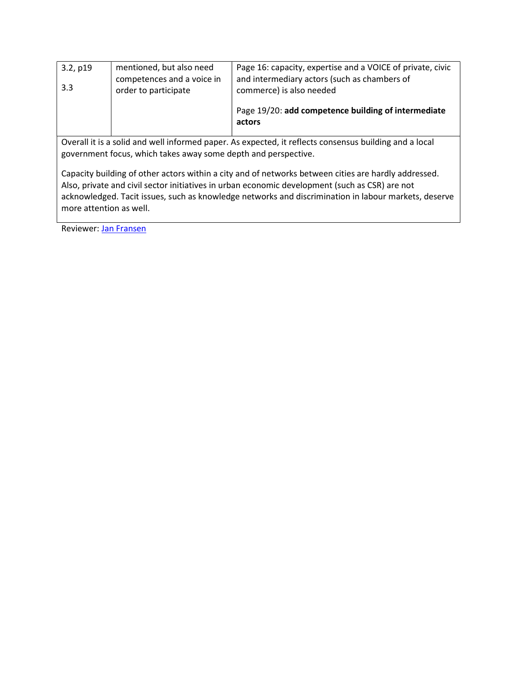| 3.2, p19<br>3.3 | mentioned, but also need<br>competences and a voice in<br>order to participate | Page 16: capacity, expertise and a VOICE of private, civic<br>and intermediary actors (such as chambers of<br>commerce) is also needed |
|-----------------|--------------------------------------------------------------------------------|----------------------------------------------------------------------------------------------------------------------------------------|
|                 |                                                                                | Page 19/20: add competence building of intermediate<br>actors                                                                          |

Overall it is a solid and well informed paper. As expected, it reflects consensus building and a local government focus, which takes away some depth and perspective.

Capacity building of other actors within a city and of networks between cities are hardly addressed. Also, private and civil sector initiatives in urban economic development (such as CSR) are not acknowledged. Tacit issues, such as knowledge networks and discrimination in labour markets, deserve more attention as well.

Reviewer: Jan Fransen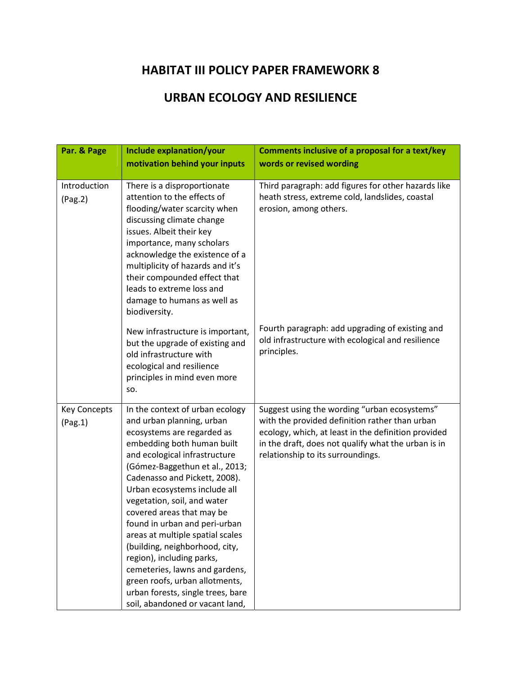#### URBAN ECOLOGY AND RESILIENCE

| Par. & Page                    | Include explanation/your<br>motivation behind your inputs                                                                                                                                                                                                                                                                                                                                                                                                                                                                                                                                                | <b>Comments inclusive of a proposal for a text/key</b><br>words or revised wording                                                                                                                                                                |
|--------------------------------|----------------------------------------------------------------------------------------------------------------------------------------------------------------------------------------------------------------------------------------------------------------------------------------------------------------------------------------------------------------------------------------------------------------------------------------------------------------------------------------------------------------------------------------------------------------------------------------------------------|---------------------------------------------------------------------------------------------------------------------------------------------------------------------------------------------------------------------------------------------------|
|                                |                                                                                                                                                                                                                                                                                                                                                                                                                                                                                                                                                                                                          |                                                                                                                                                                                                                                                   |
| Introduction<br>(Pag.2)        | There is a disproportionate<br>attention to the effects of<br>flooding/water scarcity when<br>discussing climate change<br>issues. Albeit their key<br>importance, many scholars<br>acknowledge the existence of a<br>multiplicity of hazards and it's<br>their compounded effect that<br>leads to extreme loss and<br>damage to humans as well as<br>biodiversity.                                                                                                                                                                                                                                      | Third paragraph: add figures for other hazards like<br>heath stress, extreme cold, landslides, coastal<br>erosion, among others.                                                                                                                  |
|                                | New infrastructure is important,<br>but the upgrade of existing and<br>old infrastructure with<br>ecological and resilience<br>principles in mind even more<br>SO.                                                                                                                                                                                                                                                                                                                                                                                                                                       | Fourth paragraph: add upgrading of existing and<br>old infrastructure with ecological and resilience<br>principles.                                                                                                                               |
| <b>Key Concepts</b><br>(Pag.1) | In the context of urban ecology<br>and urban planning, urban<br>ecosystems are regarded as<br>embedding both human built<br>and ecological infrastructure<br>(Gómez-Baggethun et al., 2013;<br>Cadenasso and Pickett, 2008).<br>Urban ecosystems include all<br>vegetation, soil, and water<br>covered areas that may be<br>found in urban and peri-urban<br>areas at multiple spatial scales<br>(building, neighborhood, city,<br>region), including parks,<br>cemeteries, lawns and gardens,<br>green roofs, urban allotments,<br>urban forests, single trees, bare<br>soil, abandoned or vacant land, | Suggest using the wording "urban ecosystems"<br>with the provided definition rather than urban<br>ecology, which, at least in the definition provided<br>in the draft, does not qualify what the urban is in<br>relationship to its surroundings. |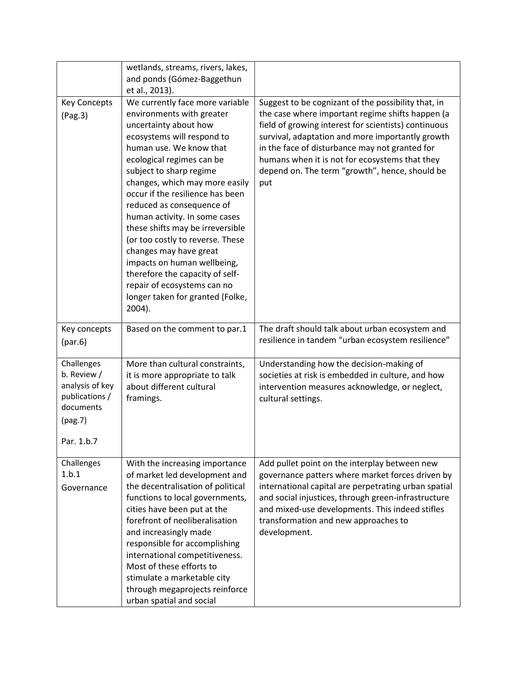|                                                                                                      | wetlands, streams, rivers, lakes,<br>and ponds (Gómez-Baggethun<br>et al., 2013).                                                                                                                                                                                                                                                                                                                                                                                                                                                                                                           |                                                                                                                                                                                                                                                                                                                                                                                  |
|------------------------------------------------------------------------------------------------------|---------------------------------------------------------------------------------------------------------------------------------------------------------------------------------------------------------------------------------------------------------------------------------------------------------------------------------------------------------------------------------------------------------------------------------------------------------------------------------------------------------------------------------------------------------------------------------------------|----------------------------------------------------------------------------------------------------------------------------------------------------------------------------------------------------------------------------------------------------------------------------------------------------------------------------------------------------------------------------------|
| <b>Key Concepts</b><br>(Pag.3)                                                                       | We currently face more variable<br>environments with greater<br>uncertainty about how<br>ecosystems will respond to<br>human use. We know that<br>ecological regimes can be<br>subject to sharp regime<br>changes, which may more easily<br>occur if the resilience has been<br>reduced as consequence of<br>human activity. In some cases<br>these shifts may be irreversible<br>(or too costly to reverse. These<br>changes may have great<br>impacts on human wellbeing,<br>therefore the capacity of self-<br>repair of ecosystems can no<br>longer taken for granted (Folke,<br>2004). | Suggest to be cognizant of the possibility that, in<br>the case where important regime shifts happen (a<br>field of growing interest for scientists) continuous<br>survival, adaptation and more importantly growth<br>in the face of disturbance may not granted for<br>humans when it is not for ecosystems that they<br>depend on. The term "growth", hence, should be<br>put |
| Key concepts<br>(par.6)                                                                              | Based on the comment to par.1                                                                                                                                                                                                                                                                                                                                                                                                                                                                                                                                                               | The draft should talk about urban ecosystem and<br>resilience in tandem "urban ecosystem resilience"                                                                                                                                                                                                                                                                             |
| Challenges<br>b. Review /<br>analysis of key<br>publications /<br>documents<br>(pag.7)<br>Par. 1.b.7 | More than cultural constraints,<br>it is more appropriate to talk<br>about different cultural<br>framings.                                                                                                                                                                                                                                                                                                                                                                                                                                                                                  | Understanding how the decision-making of<br>societies at risk is embedded in culture, and how<br>intervention measures acknowledge, or neglect,<br>cultural settings.                                                                                                                                                                                                            |
| Challenges<br>1.b.1<br>Governance                                                                    | With the increasing importance<br>of market led development and<br>the decentralisation of political<br>functions to local governments,<br>cities have been put at the<br>forefront of neoliberalisation<br>and increasingly made<br>responsible for accomplishing<br>international competitiveness.<br>Most of these efforts to<br>stimulate a marketable city<br>through megaprojects reinforce<br>urban spatial and social                                                                                                                                                               | Add pullet point on the interplay between new<br>governance patters where market forces driven by<br>international capital are perpetrating urban spatial<br>and social injustices, through green-infrastructure<br>and mixed-use developments. This indeed stifles<br>transformation and new approaches to<br>development.                                                      |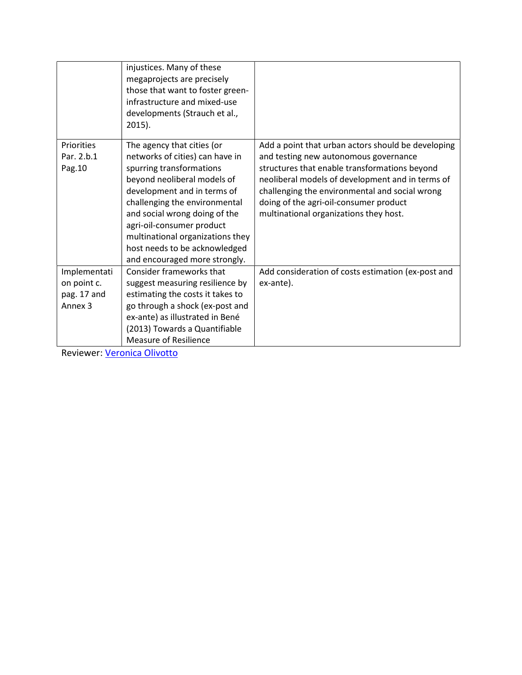|                                                                  | injustices. Many of these<br>megaprojects are precisely<br>those that want to foster green-<br>infrastructure and mixed-use<br>developments (Strauch et al.,<br>$2015$ ).                                                                                                                                                                                    |                                                                                                                                                                                                                                                                                                                                        |
|------------------------------------------------------------------|--------------------------------------------------------------------------------------------------------------------------------------------------------------------------------------------------------------------------------------------------------------------------------------------------------------------------------------------------------------|----------------------------------------------------------------------------------------------------------------------------------------------------------------------------------------------------------------------------------------------------------------------------------------------------------------------------------------|
| Priorities<br>Par. 2.b.1<br>Pag. 10                              | The agency that cities (or<br>networks of cities) can have in<br>spurring transformations<br>beyond neoliberal models of<br>development and in terms of<br>challenging the environmental<br>and social wrong doing of the<br>agri-oil-consumer product<br>multinational organizations they<br>host needs to be acknowledged<br>and encouraged more strongly. | Add a point that urban actors should be developing<br>and testing new autonomous governance<br>structures that enable transformations beyond<br>neoliberal models of development and in terms of<br>challenging the environmental and social wrong<br>doing of the agri-oil-consumer product<br>multinational organizations they host. |
| Implementati<br>on point c.<br>pag. 17 and<br>Annex <sub>3</sub> | Consider frameworks that<br>suggest measuring resilience by<br>estimating the costs it takes to<br>go through a shock (ex-post and<br>ex-ante) as illustrated in Bené<br>(2013) Towards a Quantifiable<br><b>Measure of Resilience</b>                                                                                                                       | Add consideration of costs estimation (ex-post and<br>ex-ante).                                                                                                                                                                                                                                                                        |

Reviewer: Veronica Olivotto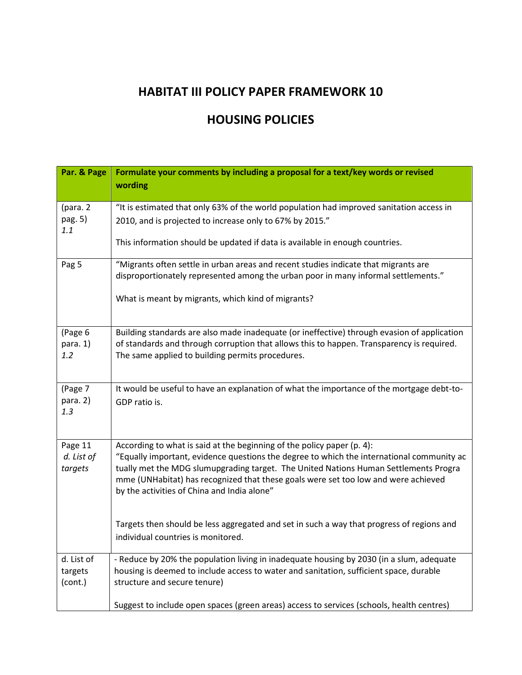#### HOUSING POLICIES

| Par. & Page                      | Formulate your comments by including a proposal for a text/key words or revised                                                                                                                                                                                                                                                                                                                  |
|----------------------------------|--------------------------------------------------------------------------------------------------------------------------------------------------------------------------------------------------------------------------------------------------------------------------------------------------------------------------------------------------------------------------------------------------|
|                                  | wording                                                                                                                                                                                                                                                                                                                                                                                          |
| (para. 2<br>pag. 5)<br>1.1       | "It is estimated that only 63% of the world population had improved sanitation access in<br>2010, and is projected to increase only to 67% by 2015."<br>This information should be updated if data is available in enough countries.                                                                                                                                                             |
| Pag 5                            | "Migrants often settle in urban areas and recent studies indicate that migrants are<br>disproportionately represented among the urban poor in many informal settlements."<br>What is meant by migrants, which kind of migrants?                                                                                                                                                                  |
| (Page 6<br>para. 1)<br>1.2       | Building standards are also made inadequate (or ineffective) through evasion of application<br>of standards and through corruption that allows this to happen. Transparency is required.<br>The same applied to building permits procedures.                                                                                                                                                     |
| (Page 7<br>para. 2)<br>1.3       | It would be useful to have an explanation of what the importance of the mortgage debt-to-<br>GDP ratio is.                                                                                                                                                                                                                                                                                       |
| Page 11<br>d. List of<br>targets | According to what is said at the beginning of the policy paper (p. 4):<br>"Equally important, evidence questions the degree to which the international community ac<br>tually met the MDG slumupgrading target. The United Nations Human Settlements Progra<br>mme (UNHabitat) has recognized that these goals were set too low and were achieved<br>by the activities of China and India alone" |
|                                  | Targets then should be less aggregated and set in such a way that progress of regions and<br>individual countries is monitored.                                                                                                                                                                                                                                                                  |
| d. List of<br>targets<br>(cont.) | - Reduce by 20% the population living in inadequate housing by 2030 (in a slum, adequate<br>housing is deemed to include access to water and sanitation, sufficient space, durable<br>structure and secure tenure)                                                                                                                                                                               |
|                                  | Suggest to include open spaces (green areas) access to services (schools, health centres)                                                                                                                                                                                                                                                                                                        |